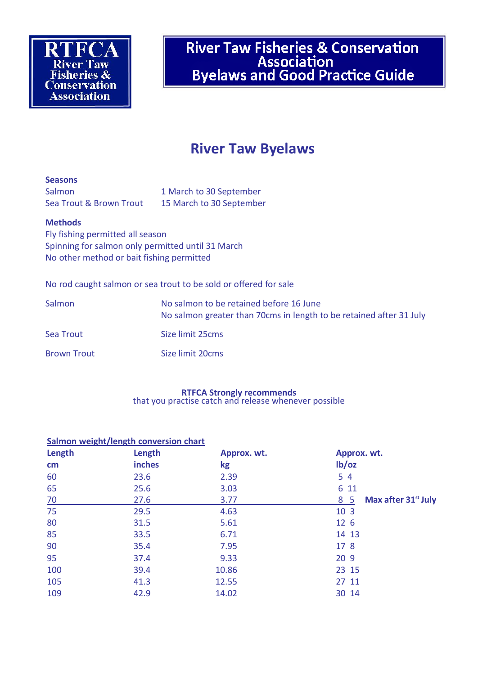River Taw Fisheries & Conservation<br>Association<br>Byelaws and Good Practice Guide

# **River Taw Byelaws**

#### **Seasons**

Salmon 1 March to 30 September Sea Trout & Brown Trout 15 March to 30 September

#### **Methods**

Fly fishing permitted all season Spinning for salmon only permitted until 31 March No other method or bait fishing permitted

No rod caught salmon or sea trout to be sold or offered for sale

| Salmon             | No salmon to be retained before 16 June<br>No salmon greater than 70cms in length to be retained after 31 July |  |
|--------------------|----------------------------------------------------------------------------------------------------------------|--|
| Sea Trout          | Size limit 25cms                                                                                               |  |
| <b>Brown Trout</b> | Size limit 20cms                                                                                               |  |

## **RTFCA Strongly recommends**

that you practise catch and release whenever possible

## **Salmon weight/length conversion chart**

| Length | Length        | Approx. wt. | Approx. wt.                            |
|--------|---------------|-------------|----------------------------------------|
| cm     | <b>inches</b> | kg          | lb/oz                                  |
| 60     | 23.6          | 2.39        | 5 4                                    |
| 65     | 25.6          | 3.03        | 6 11                                   |
| 70     | 27.6          | 3.77        | Max after 31 <sup>st</sup> July<br>8 5 |
| 75     | 29.5          | 4.63        | 10 3                                   |
| 80     | 31.5          | 5.61        | 12 6                                   |
| 85     | 33.5          | 6.71        | 14 13                                  |
| 90     | 35.4          | 7.95        | 17 8                                   |
| 95     | 37.4          | 9.33        | 20 9                                   |
| 100    | 39.4          | 10.86       | 23 15                                  |
| 105    | 41.3          | 12.55       | 27 11                                  |
| 109    | 42.9          | 14.02       | 30 14                                  |